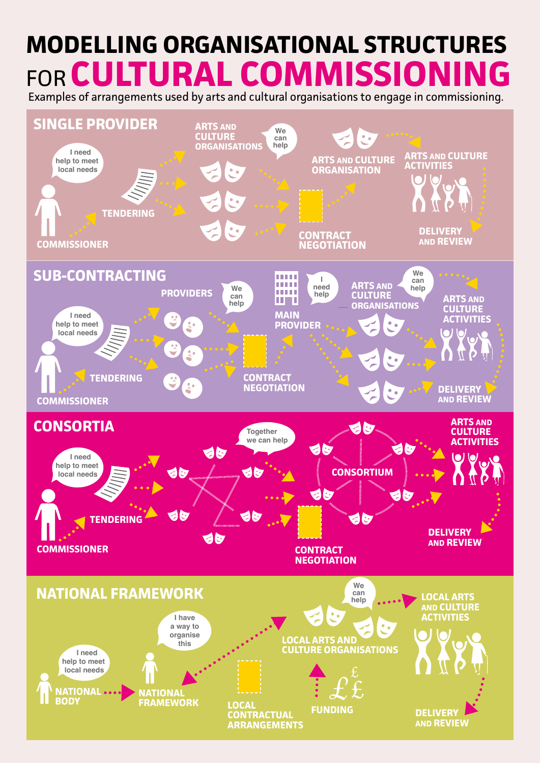## **MODELLING ORGANISATIONAL STRUCTURES FOR CULTURAL COMMISSIONI**

Examples of arrangements used by arts and cultural organisations to engage in commissioning.